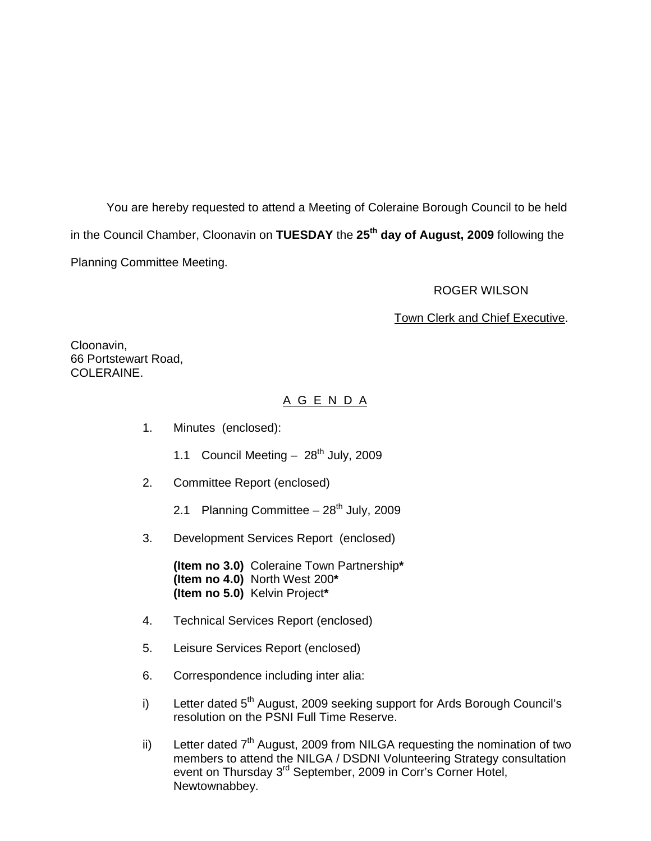You are hereby requested to attend a Meeting of Coleraine Borough Council to be held in the Council Chamber, Cloonavin on **TUESDAY** the **25th day of August, 2009** following the Planning Committee Meeting.

#### ROGER WILSON

#### Town Clerk and Chief Executive.

Cloonavin, 66 Portstewart Road, COLERAINE.

# A G E N D A

- 1. Minutes (enclosed):
	- 1.1 Council Meeting  $-28^{th}$  July, 2009
- 2. Committee Report (enclosed)
	- 2.1 Planning Committee  $-28<sup>th</sup>$  July, 2009
- 3. Development Services Report (enclosed)

**(Item no 3.0)** Coleraine Town Partnership**\* (Item no 4.0)** North West 200**\* (Item no 5.0)** Kelvin Project**\*** 

- 4. Technical Services Report (enclosed)
- 5. Leisure Services Report (enclosed)
- 6. Correspondence including inter alia:
- i) Letter dated 5<sup>th</sup> August, 2009 seeking support for Ards Borough Council's resolution on the PSNI Full Time Reserve.
- ii) Letter dated  $7<sup>th</sup>$  August, 2009 from NILGA requesting the nomination of two members to attend the NILGA / DSDNI Volunteering Strategy consultation event on Thursday 3<sup>rd</sup> September, 2009 in Corr's Corner Hotel, Newtownabbey.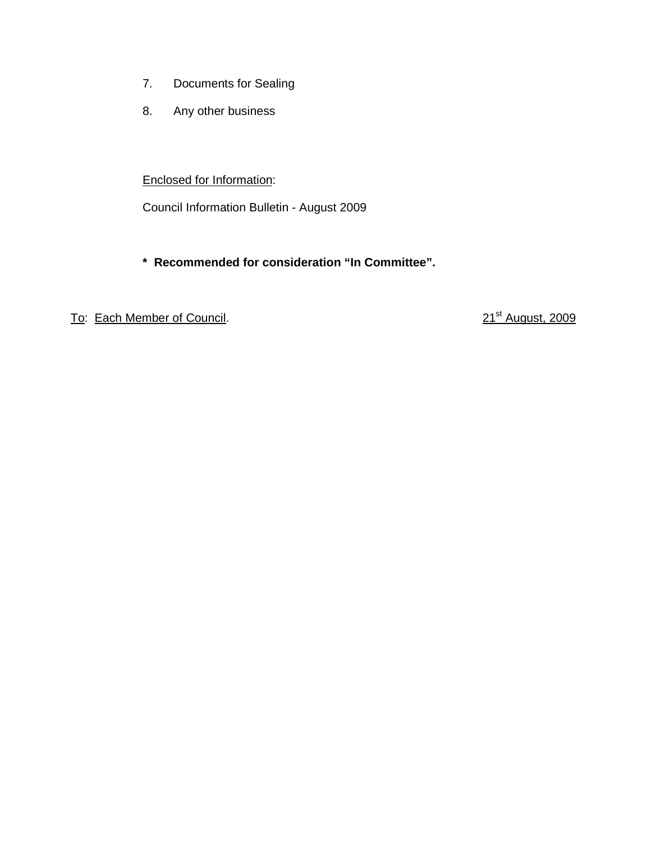- 7. Documents for Sealing
- 8. Any other business

## Enclosed for Information:

Council Information Bulletin - August 2009

# **\* Recommended for consideration "In Committee".**

# To: Each Member of Council. 2009 and 21<sup>st</sup> August, 2009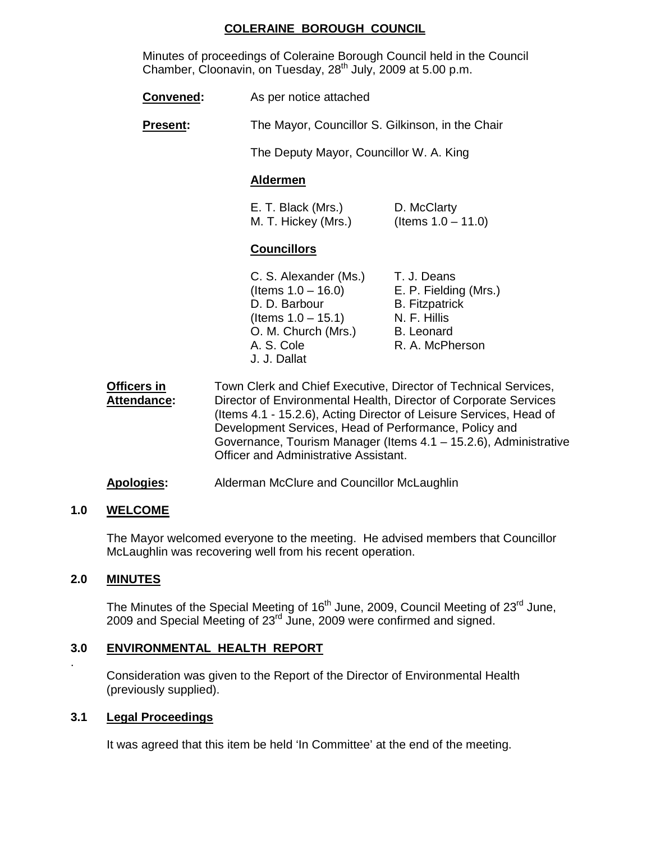## **COLERAINE BOROUGH COUNCIL**

Minutes of proceedings of Coleraine Borough Council held in the Council Chamber, Cloonavin, on Tuesday,  $28<sup>th</sup>$  July, 2009 at 5.00 p.m.

| Convened: | As per notice attached |
|-----------|------------------------|
|-----------|------------------------|

**Present:** The Mayor, Councillor S. Gilkinson, in the Chair

The Deputy Mayor, Councillor W. A. King

## **Aldermen**

| E. T. Black (Mrs.)  | D. McClarty           |
|---------------------|-----------------------|
| M. T. Hickey (Mrs.) | (Items $1.0 - 11.0$ ) |

## **Councillors**

| C. S. Alexander (Ms.) | T. J. Deans           |
|-----------------------|-----------------------|
| (Items $1.0 - 16.0$ ) | E. P. Fielding (Mrs.) |
| D. D. Barbour         | <b>B.</b> Fitzpatrick |
| (Items $1.0 - 15.1$ ) | N. F. Hillis          |
| O. M. Church (Mrs.)   | <b>B.</b> Leonard     |
| A. S. Cole            | R. A. McPherson       |
| J. J. Dallat          |                       |

- **Officers in** Town Clerk and Chief Executive, Director of Technical Services, **Attendance:** Director of Environmental Health, Director of Corporate Services (Items 4.1 - 15.2.6), Acting Director of Leisure Services, Head of Development Services, Head of Performance, Policy and Governance, Tourism Manager (Items 4.1 – 15.2.6), Administrative Officer and Administrative Assistant.
- **Apologies:** Alderman McClure and Councillor McLaughlin

## **1.0 WELCOME**

 The Mayor welcomed everyone to the meeting. He advised members that Councillor McLaughlin was recovering well from his recent operation.

## **2.0 MINUTES**

.

The Minutes of the Special Meeting of 16<sup>th</sup> June, 2009, Council Meeting of 23<sup>rd</sup> June, 2009 and Special Meeting of 23rd June, 2009 were confirmed and signed.

# **3.0 ENVIRONMENTAL HEALTH REPORT**

 Consideration was given to the Report of the Director of Environmental Health (previously supplied).

## **3.1 Legal Proceedings**

It was agreed that this item be held 'In Committee' at the end of the meeting.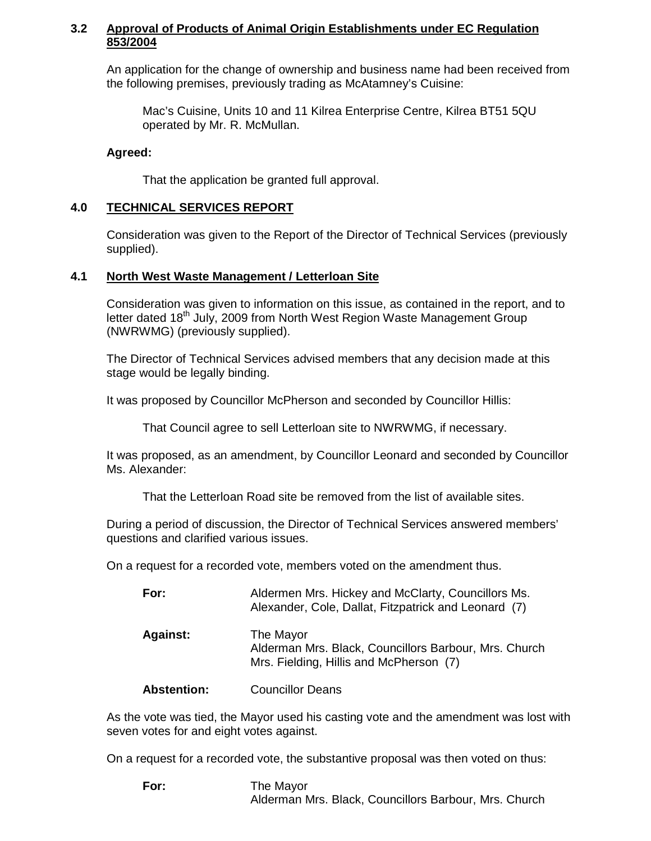## **3.2 Approval of Products of Animal Origin Establishments under EC Regulation 853/2004**

 An application for the change of ownership and business name had been received from the following premises, previously trading as McAtamney's Cuisine:

 Mac's Cuisine, Units 10 and 11 Kilrea Enterprise Centre, Kilrea BT51 5QU operated by Mr. R. McMullan.

## **Agreed:**

That the application be granted full approval.

### **4.0 TECHNICAL SERVICES REPORT**

Consideration was given to the Report of the Director of Technical Services (previously supplied).

## **4.1 North West Waste Management / Letterloan Site**

Consideration was given to information on this issue, as contained in the report, and to letter dated 18<sup>th</sup> July, 2009 from North West Region Waste Management Group (NWRWMG) (previously supplied).

The Director of Technical Services advised members that any decision made at this stage would be legally binding.

It was proposed by Councillor McPherson and seconded by Councillor Hillis:

That Council agree to sell Letterloan site to NWRWMG, if necessary.

It was proposed, as an amendment, by Councillor Leonard and seconded by Councillor Ms. Alexander:

That the Letterloan Road site be removed from the list of available sites.

During a period of discussion, the Director of Technical Services answered members' questions and clarified various issues.

On a request for a recorded vote, members voted on the amendment thus.

| For:            | Aldermen Mrs. Hickey and McClarty, Councillors Ms.<br>Alexander, Cole, Dallat, Fitzpatrick and Leonard (7)    |
|-----------------|---------------------------------------------------------------------------------------------------------------|
| <b>Against:</b> | The Mayor<br>Alderman Mrs. Black, Councillors Barbour, Mrs. Church<br>Mrs. Fielding, Hillis and McPherson (7) |

**Abstention:** Councillor Deans

As the vote was tied, the Mayor used his casting vote and the amendment was lost with seven votes for and eight votes against.

On a request for a recorded vote, the substantive proposal was then voted on thus:

**For:** The Mayor Alderman Mrs. Black, Councillors Barbour, Mrs. Church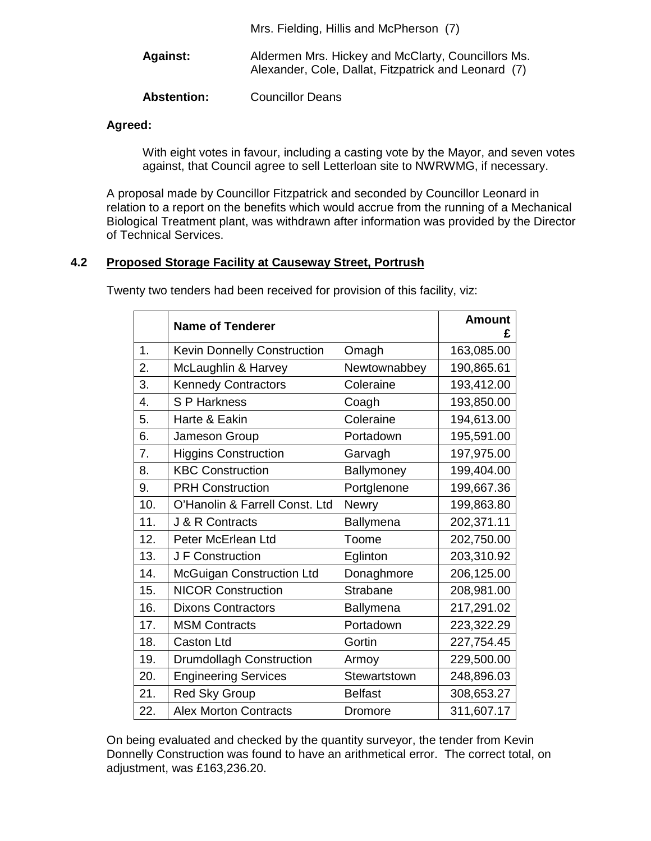|                    | Mrs. Fielding, Hillis and McPherson (7)                                                                    |
|--------------------|------------------------------------------------------------------------------------------------------------|
| <b>Against:</b>    | Aldermen Mrs. Hickey and McClarty, Councillors Ms.<br>Alexander, Cole, Dallat, Fitzpatrick and Leonard (7) |
| <b>Abstention:</b> | <b>Councillor Deans</b>                                                                                    |

## **Agreed:**

With eight votes in favour, including a casting vote by the Mayor, and seven votes against, that Council agree to sell Letterloan site to NWRWMG, if necessary.

A proposal made by Councillor Fitzpatrick and seconded by Councillor Leonard in relation to a report on the benefits which would accrue from the running of a Mechanical Biological Treatment plant, was withdrawn after information was provided by the Director of Technical Services.

## **4.2 Proposed Storage Facility at Causeway Street, Portrush**

|     | <b>Name of Tenderer</b>          |                | <b>Amount</b><br>£ |
|-----|----------------------------------|----------------|--------------------|
| 1.  | Kevin Donnelly Construction      | Omagh          | 163,085.00         |
| 2.  | McLaughlin & Harvey              | Newtownabbey   | 190,865.61         |
| 3.  | <b>Kennedy Contractors</b>       | Coleraine      | 193,412.00         |
| 4.  | S P Harkness                     | Coagh          | 193,850.00         |
| 5.  | Harte & Eakin                    | Coleraine      | 194,613.00         |
| 6.  | Jameson Group                    | Portadown      | 195,591.00         |
| 7.  | <b>Higgins Construction</b>      | Garvagh        | 197,975.00         |
| 8.  | <b>KBC Construction</b>          | Ballymoney     | 199,404.00         |
| 9.  | <b>PRH Construction</b>          | Portglenone    | 199,667.36         |
| 10. | O'Hanolin & Farrell Const. Ltd   | <b>Newry</b>   | 199,863.80         |
| 11. | J & R Contracts                  | Ballymena      | 202,371.11         |
| 12. | Peter McErlean Ltd               | Toome          | 202,750.00         |
| 13. | J F Construction                 | Eglinton       | 203,310.92         |
| 14. | <b>McGuigan Construction Ltd</b> | Donaghmore     | 206,125.00         |
| 15. | <b>NICOR Construction</b>        | Strabane       | 208,981.00         |
| 16. | <b>Dixons Contractors</b>        | Ballymena      | 217,291.02         |
| 17. | <b>MSM Contracts</b>             | Portadown      | 223,322.29         |
| 18. | <b>Caston Ltd</b>                | Gortin         | 227,754.45         |
| 19. | <b>Drumdollagh Construction</b>  | Armoy          | 229,500.00         |
| 20. | <b>Engineering Services</b>      | Stewartstown   | 248,896.03         |
| 21. | <b>Red Sky Group</b>             | <b>Belfast</b> | 308,653.27         |
| 22. | <b>Alex Morton Contracts</b>     | Dromore        | 311,607.17         |

Twenty two tenders had been received for provision of this facility, viz:

On being evaluated and checked by the quantity surveyor, the tender from Kevin Donnelly Construction was found to have an arithmetical error. The correct total, on adjustment, was £163,236.20.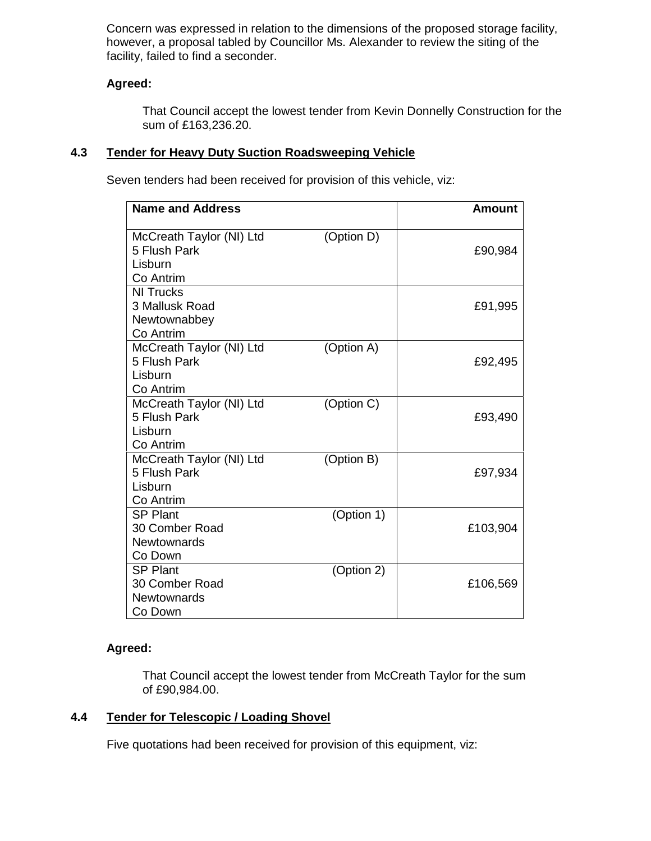Concern was expressed in relation to the dimensions of the proposed storage facility, however, a proposal tabled by Councillor Ms. Alexander to review the siting of the facility, failed to find a seconder.

# **Agreed:**

That Council accept the lowest tender from Kevin Donnelly Construction for the sum of £163,236.20.

## **4.3 Tender for Heavy Duty Suction Roadsweeping Vehicle**

Seven tenders had been received for provision of this vehicle, viz:

| <b>Name and Address</b>                                          |            | <b>Amount</b> |
|------------------------------------------------------------------|------------|---------------|
| McCreath Taylor (NI) Ltd<br>5 Flush Park<br>Lisburn<br>Co Antrim | (Option D) | £90,984       |
| <b>NI Trucks</b><br>3 Mallusk Road<br>Newtownabbey<br>Co Antrim  |            | £91,995       |
| McCreath Taylor (NI) Ltd<br>5 Flush Park<br>Lisburn<br>Co Antrim | (Option A) | £92,495       |
| McCreath Taylor (NI) Ltd<br>5 Flush Park<br>Lisburn<br>Co Antrim | (Option C) | £93,490       |
| McCreath Taylor (NI) Ltd<br>5 Flush Park<br>Lisburn<br>Co Antrim | (Option B) | £97,934       |
| <b>SP Plant</b><br>30 Comber Road<br>Newtownards<br>Co Down      | (Option 1) | £103,904      |
| <b>SP Plant</b><br>30 Comber Road<br>Newtownards<br>Co Down      | (Option 2) | £106,569      |

## **Agreed:**

That Council accept the lowest tender from McCreath Taylor for the sum of £90,984.00.

## **4.4 Tender for Telescopic / Loading Shovel**

Five quotations had been received for provision of this equipment, viz: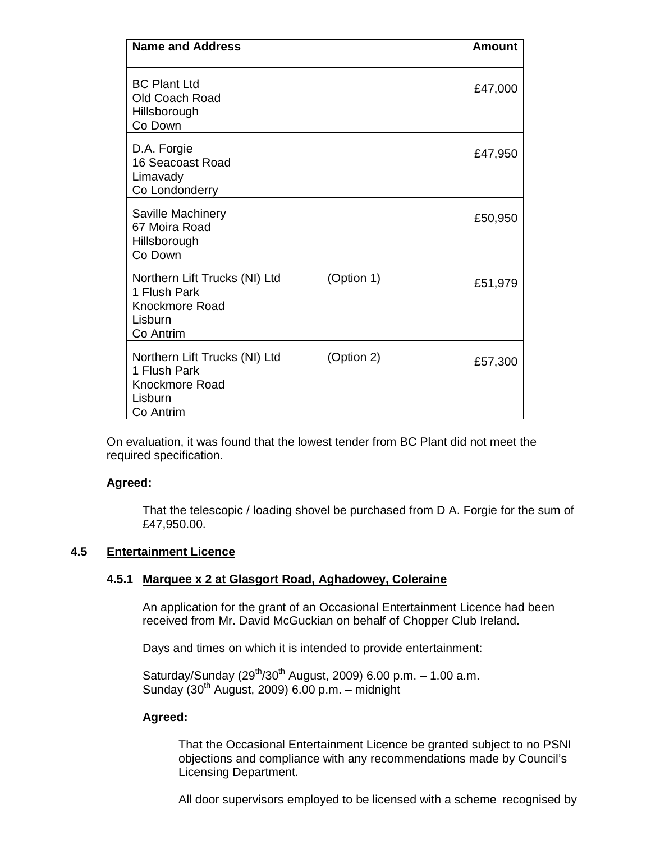| <b>Name and Address</b>                                                                 |            | <b>Amount</b> |
|-----------------------------------------------------------------------------------------|------------|---------------|
| <b>BC Plant Ltd</b><br>Old Coach Road<br>Hillsborough<br>Co Down                        |            | £47,000       |
| D.A. Forgie<br>16 Seacoast Road<br>Limavady<br>Co Londonderry                           |            | £47,950       |
| Saville Machinery<br>67 Moira Road<br>Hillsborough<br>Co Down                           |            | £50,950       |
| Northern Lift Trucks (NI) Ltd<br>1 Flush Park<br>Knockmore Road<br>Lisburn<br>Co Antrim | (Option 1) | £51,979       |
| Northern Lift Trucks (NI) Ltd<br>1 Flush Park<br>Knockmore Road<br>Lisburn<br>Co Antrim | (Option 2) | £57,300       |

On evaluation, it was found that the lowest tender from BC Plant did not meet the required specification.

## **Agreed:**

 That the telescopic / loading shovel be purchased from D A. Forgie for the sum of £47,950.00.

#### **4.5 Entertainment Licence**

#### **4.5.1 Marquee x 2 at Glasgort Road, Aghadowey, Coleraine**

 An application for the grant of an Occasional Entertainment Licence had been received from Mr. David McGuckian on behalf of Chopper Club Ireland.

Days and times on which it is intended to provide entertainment:

Saturday/Sunday  $(29^{th}/30^{th}$  August, 2009) 6.00 p.m. - 1.00 a.m. Sunday  $(30<sup>th</sup>$  August, 2009) 6.00 p.m. – midnight

#### **Agreed:**

 That the Occasional Entertainment Licence be granted subject to no PSNI objections and compliance with any recommendations made by Council's Licensing Department.

All door supervisors employed to be licensed with a scheme recognised by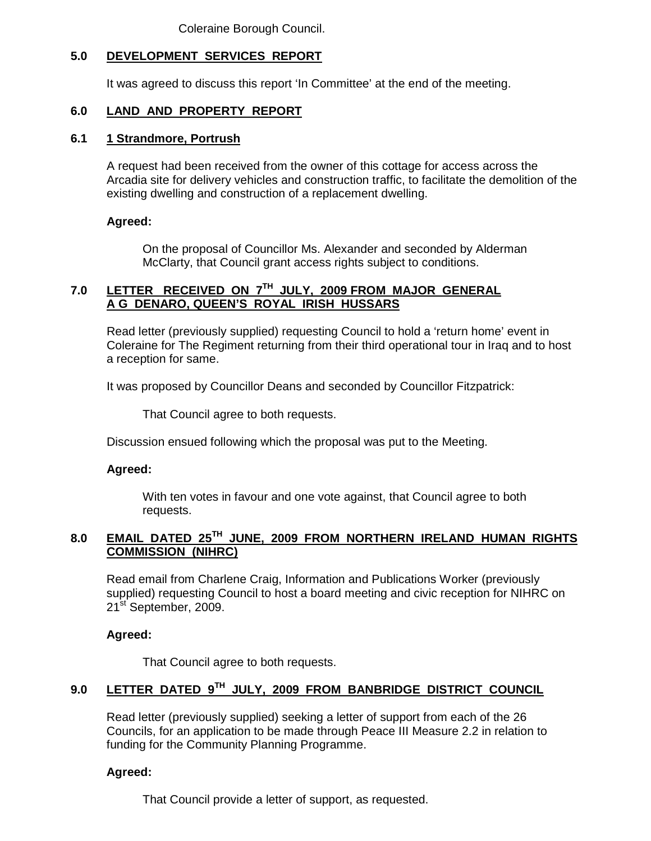Coleraine Borough Council.

# **5.0 DEVELOPMENT SERVICES REPORT**

It was agreed to discuss this report 'In Committee' at the end of the meeting.

## **6.0 LAND AND PROPERTY REPORT**

## **6.1 1 Strandmore, Portrush**

 A request had been received from the owner of this cottage for access across the Arcadia site for delivery vehicles and construction traffic, to facilitate the demolition of the existing dwelling and construction of a replacement dwelling.

## **Agreed:**

On the proposal of Councillor Ms. Alexander and seconded by Alderman McClarty, that Council grant access rights subject to conditions.

## **7.0 LETTER RECEIVED ON 7TH JULY, 2009 FROM MAJOR GENERAL A G DENARO, QUEEN'S ROYAL IRISH HUSSARS**

 Read letter (previously supplied) requesting Council to hold a 'return home' event in Coleraine for The Regiment returning from their third operational tour in Iraq and to host a reception for same.

It was proposed by Councillor Deans and seconded by Councillor Fitzpatrick:

That Council agree to both requests.

Discussion ensued following which the proposal was put to the Meeting.

## **Agreed:**

With ten votes in favour and one vote against, that Council agree to both requests.

## **8.0 EMAIL DATED 25TH JUNE, 2009 FROM NORTHERN IRELAND HUMAN RIGHTS COMMISSION (NIHRC)**

 Read email from Charlene Craig, Information and Publications Worker (previously supplied) requesting Council to host a board meeting and civic reception for NIHRC on 21<sup>st</sup> September, 2009.

## **Agreed:**

That Council agree to both requests.

# **9.0 LETTER DATED 9TH JULY, 2009 FROM BANBRIDGE DISTRICT COUNCIL**

 Read letter (previously supplied) seeking a letter of support from each of the 26 Councils, for an application to be made through Peace III Measure 2.2 in relation to funding for the Community Planning Programme.

## **Agreed:**

That Council provide a letter of support, as requested.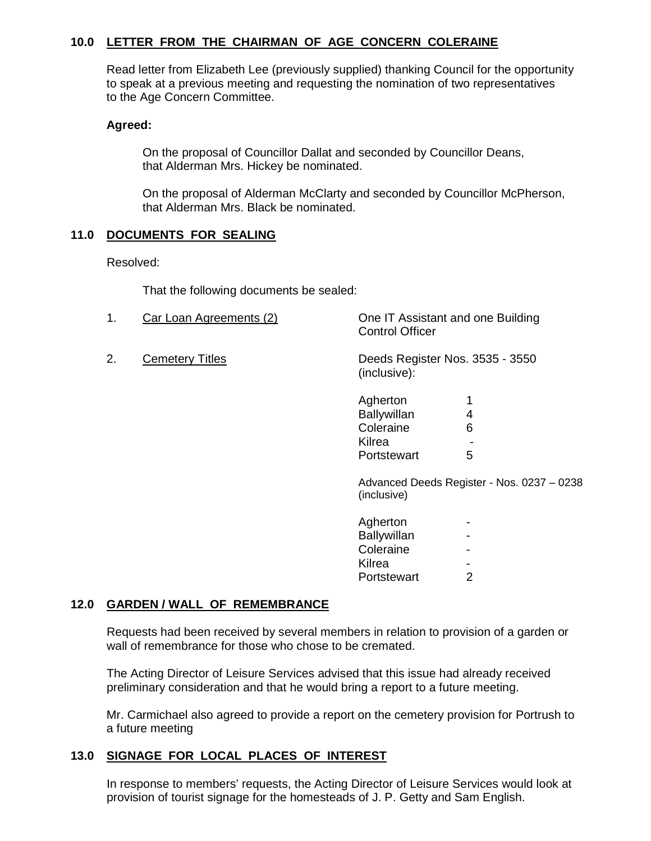## **10.0 LETTER FROM THE CHAIRMAN OF AGE CONCERN COLERAINE**

 Read letter from Elizabeth Lee (previously supplied) thanking Council for the opportunity to speak at a previous meeting and requesting the nomination of two representatives to the Age Concern Committee.

#### **Agreed:**

On the proposal of Councillor Dallat and seconded by Councillor Deans, that Alderman Mrs. Hickey be nominated.

 On the proposal of Alderman McClarty and seconded by Councillor McPherson, that Alderman Mrs. Black be nominated.

## **11.0 DOCUMENTS FOR SEALING**

Resolved:

That the following documents be sealed:

|   | Car Loan Agreements (2) | One IT Assistant and one Building<br><b>Control Officer</b> |
|---|-------------------------|-------------------------------------------------------------|
| ⌒ |                         | Boxald Boxdaton May 2005 2050                               |

2. Cemetery Titles Deeds Register Nos. 3535 - 3550 (inclusive):

| Agherton    |   |
|-------------|---|
| Ballywillan |   |
| Coleraine   | 6 |
| Kilrea      |   |
| Portstewart | 5 |

 Advanced Deeds Register - Nos. 0237 – 0238 (inclusive)

| Agherton    |   |
|-------------|---|
| Ballywillan |   |
| Coleraine   |   |
| Kilrea      |   |
| Portstewart | 2 |
|             |   |

# **12.0 GARDEN / WALL OF REMEMBRANCE**

Requests had been received by several members in relation to provision of a garden or wall of remembrance for those who chose to be cremated.

The Acting Director of Leisure Services advised that this issue had already received preliminary consideration and that he would bring a report to a future meeting.

Mr. Carmichael also agreed to provide a report on the cemetery provision for Portrush to a future meeting

## **13.0 SIGNAGE FOR LOCAL PLACES OF INTEREST**

In response to members' requests, the Acting Director of Leisure Services would look at provision of tourist signage for the homesteads of J. P. Getty and Sam English.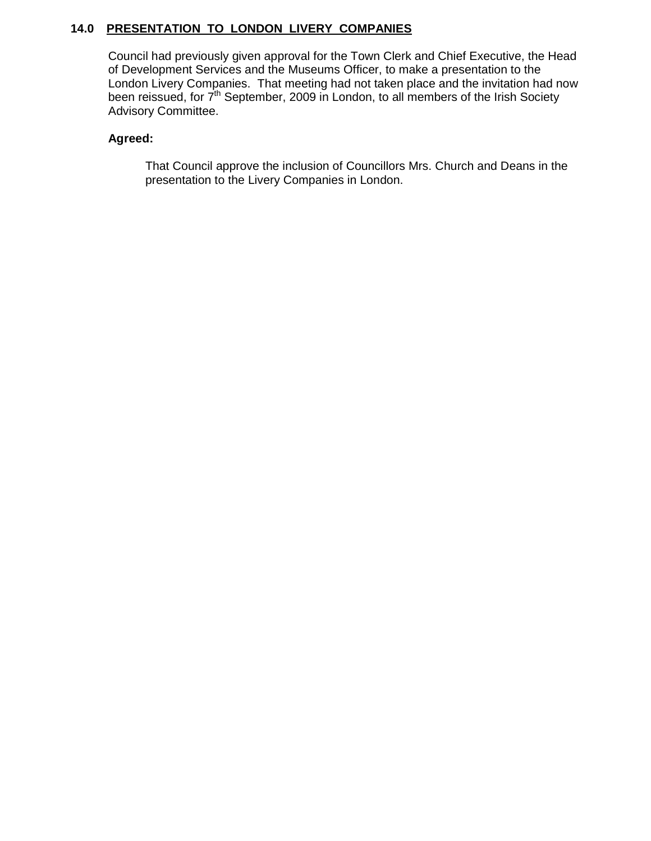# **14.0 PRESENTATION TO LONDON LIVERY COMPANIES**

Council had previously given approval for the Town Clerk and Chief Executive, the Head of Development Services and the Museums Officer, to make a presentation to the London Livery Companies. That meeting had not taken place and the invitation had now been reissued, for 7<sup>th</sup> September, 2009 in London, to all members of the Irish Society Advisory Committee.

## **Agreed:**

That Council approve the inclusion of Councillors Mrs. Church and Deans in the presentation to the Livery Companies in London.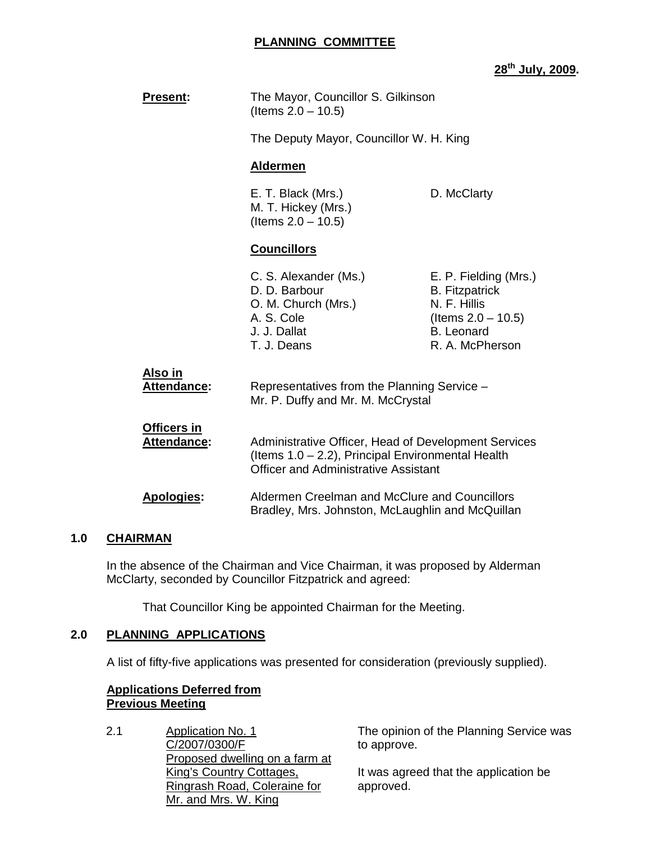### **PLANNING COMMITTEE**

## **28th July, 2009.**

| <b>Present:</b>                          | The Mayor, Councillor S. Gilkinson<br>(Items $2.0 - 10.5$ )                                                                                              |                                                                                                                                 |
|------------------------------------------|----------------------------------------------------------------------------------------------------------------------------------------------------------|---------------------------------------------------------------------------------------------------------------------------------|
|                                          | The Deputy Mayor, Councillor W. H. King                                                                                                                  |                                                                                                                                 |
|                                          | <b>Aldermen</b>                                                                                                                                          |                                                                                                                                 |
|                                          | E. T. Black (Mrs.)<br>M. T. Hickey (Mrs.)<br>(Items $2.0 - 10.5$ )                                                                                       | D. McClarty                                                                                                                     |
|                                          | <b>Councillors</b>                                                                                                                                       |                                                                                                                                 |
|                                          | C. S. Alexander (Ms.)<br>D. D. Barbour<br>O. M. Church (Mrs.)<br>A. S. Cole<br>J. J. Dallat<br>T. J. Deans                                               | E. P. Fielding (Mrs.)<br><b>B.</b> Fitzpatrick<br>N. F. Hillis<br>(Items $2.0 - 10.5$ )<br><b>B.</b> Leonard<br>R. A. McPherson |
| Also in<br><b>Attendance:</b>            | Representatives from the Planning Service -<br>Mr. P. Duffy and Mr. M. McCrystal                                                                         |                                                                                                                                 |
| <b>Officers in</b><br><b>Attendance:</b> | Administrative Officer, Head of Development Services<br>(Items 1.0 – 2.2), Principal Environmental Health<br><b>Officer and Administrative Assistant</b> |                                                                                                                                 |
| <b>Apologies:</b>                        | Aldermen Creelman and McClure and Councillors<br>Bradley, Mrs. Johnston, McLaughlin and McQuillan                                                        |                                                                                                                                 |

## **1.0 CHAIRMAN**

 In the absence of the Chairman and Vice Chairman, it was proposed by Alderman McClarty, seconded by Councillor Fitzpatrick and agreed:

That Councillor King be appointed Chairman for the Meeting.

## **2.0 PLANNING APPLICATIONS**

A list of fifty-five applications was presented for consideration (previously supplied).

## **Applications Deferred from Previous Meeting**

2.1 Application No. 1 C/2007/0300/F Proposed dwelling on a farm at King's Country Cottages, Ringrash Road, Coleraine for Mr. and Mrs. W. King

The opinion of the Planning Service was to approve.

It was agreed that the application be approved.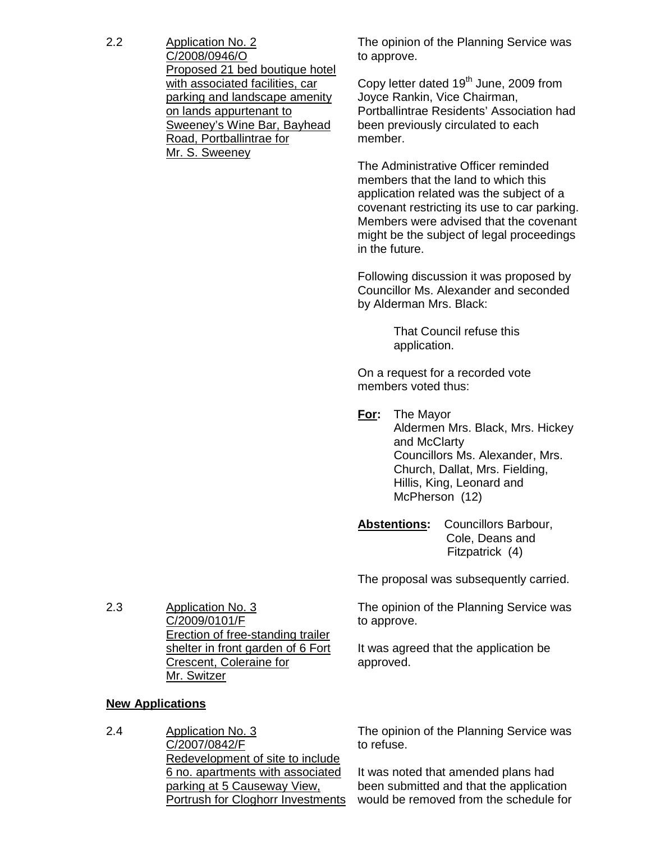2.2 Application No. 2 C/2008/0946/O Proposed 21 bed boutique hotel with associated facilities, car parking and landscape amenity on lands appurtenant to Sweeney's Wine Bar, Bayhead Road, Portballintrae for Mr. S. Sweeney

The opinion of the Planning Service was to approve.

Copy letter dated  $19<sup>th</sup>$  June, 2009 from Joyce Rankin, Vice Chairman, Portballintrae Residents' Association had been previously circulated to each member.

The Administrative Officer reminded members that the land to which this application related was the subject of a covenant restricting its use to car parking. Members were advised that the covenant might be the subject of legal proceedings in the future.

Following discussion it was proposed by Councillor Ms. Alexander and seconded by Alderman Mrs. Black:

> That Council refuse this application.

On a request for a recorded vote members voted thus:

**For:** The Mayor Aldermen Mrs. Black, Mrs. Hickey and McClarty Councillors Ms. Alexander, Mrs. Church, Dallat, Mrs. Fielding, Hillis, King, Leonard and McPherson (12)

**Abstentions:** Councillors Barbour, Cole, Deans and Fitzpatrick (4)

The proposal was subsequently carried.

The opinion of the Planning Service was to approve.

It was agreed that the application be approved.

2.3 Application No. 3 C/2009/0101/F Erection of free-standing trailer shelter in front garden of 6 Fort Crescent, Coleraine for Mr. Switzer

# **New Applications**

2.4 Application No. 3 C/2007/0842/F Redevelopment of site to include 6 no. apartments with associated parking at 5 Causeway View, Portrush for Cloghorr Investments

The opinion of the Planning Service was to refuse.

It was noted that amended plans had been submitted and that the application would be removed from the schedule for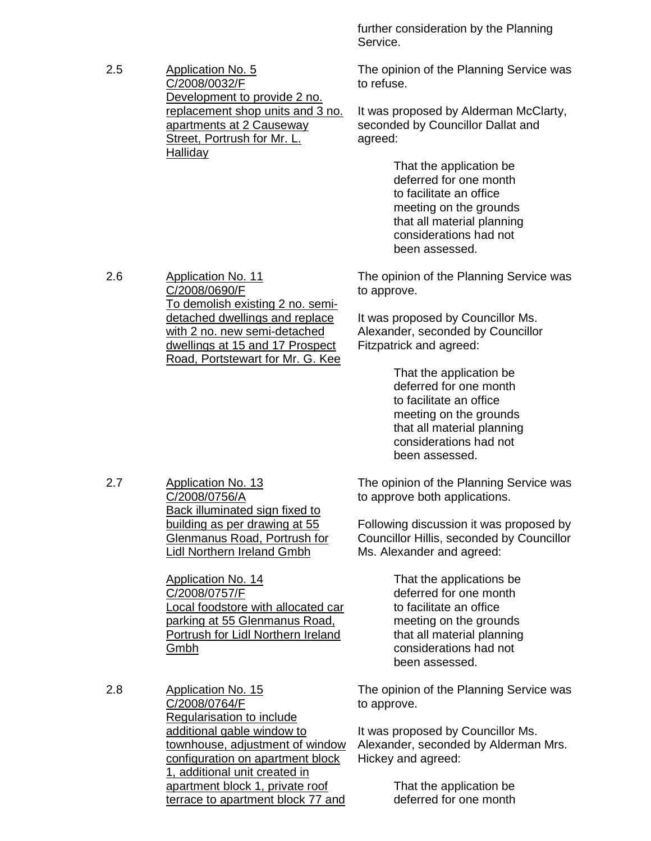further consideration by the Planning Service.

The opinion of the Planning Service was to refuse.

It was proposed by Alderman McClarty, seconded by Councillor Dallat and agreed:

> That the application be deferred for one month to facilitate an office meeting on the grounds that all material planning considerations had not been assessed.

The opinion of the Planning Service was to approve.

It was proposed by Councillor Ms. Alexander, seconded by Councillor Fitzpatrick and agreed:

> That the application be deferred for one month to facilitate an office meeting on the grounds that all material planning considerations had not been assessed.

The opinion of the Planning Service was to approve both applications.

Following discussion it was proposed by Councillor Hillis, seconded by Councillor Ms. Alexander and agreed:

> That the applications be deferred for one month to facilitate an office meeting on the grounds that all material planning considerations had not been assessed.

The opinion of the Planning Service was to approve.

It was proposed by Councillor Ms. Alexander, seconded by Alderman Mrs. Hickey and agreed:

> That the application be deferred for one month

2.5 Application No. 5 C/2008/0032/F Development to provide 2 no. replacement shop units and 3 no. apartments at 2 Causeway Street, Portrush for Mr. L. **Halliday** 

2.6 Application No. 11 C/2008/0690/F To demolish existing 2 no. semidetached dwellings and replace with 2 no. new semi-detached dwellings at 15 and 17 Prospect Road, Portstewart for Mr. G. Kee

2.7 Application No. 13 C/2008/0756/A Back illuminated sign fixed to building as per drawing at 55 Glenmanus Road, Portrush for Lidl Northern Ireland Gmbh

> Application No. 14 C/2008/0757/F Local foodstore with allocated car parking at 55 Glenmanus Road, Portrush for Lidl Northern Ireland Gmbh

2.8 Application No. 15 C/2008/0764/F Regularisation to include additional gable window to townhouse, adjustment of window configuration on apartment block 1, additional unit created in apartment block 1, private roof terrace to apartment block 77 and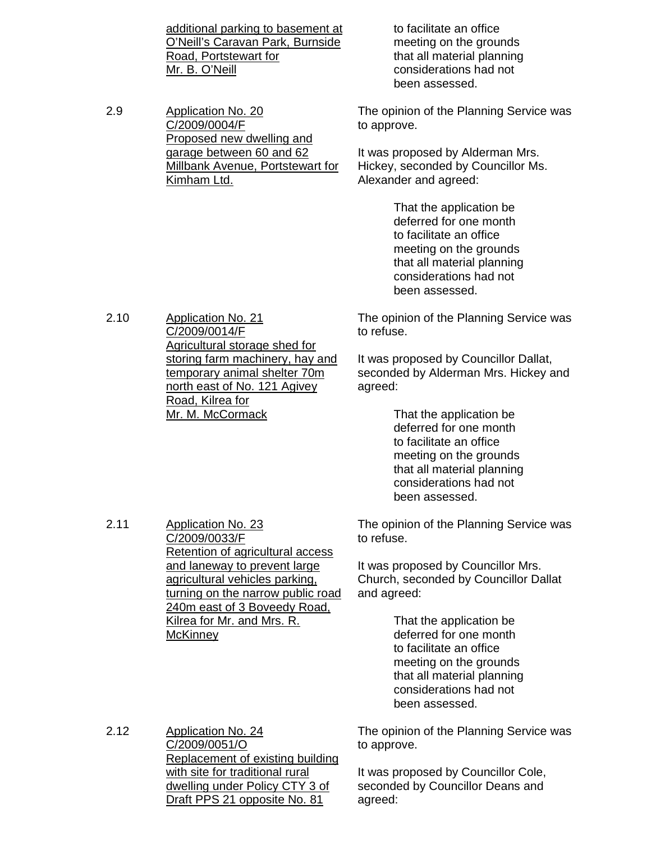additional parking to basement at O'Neill's Caravan Park, Burnside Road, Portstewart for Mr. B. O'Neill

2.9 Application No. 20 C/2009/0004/F Proposed new dwelling and garage between 60 and 62 Millbank Avenue, Portstewart for Kimham Ltd.

 to facilitate an office meeting on the grounds that all material planning considerations had not been assessed.

The opinion of the Planning Service was to approve.

It was proposed by Alderman Mrs. Hickey, seconded by Councillor Ms. Alexander and agreed:

> That the application be deferred for one month to facilitate an office meeting on the grounds that all material planning considerations had not been assessed.

The opinion of the Planning Service was to refuse.

It was proposed by Councillor Dallat, seconded by Alderman Mrs. Hickey and agreed:

> That the application be deferred for one month to facilitate an office meeting on the grounds that all material planning considerations had not been assessed.

The opinion of the Planning Service was to refuse.

It was proposed by Councillor Mrs. Church, seconded by Councillor Dallat and agreed:

> That the application be deferred for one month to facilitate an office meeting on the grounds that all material planning considerations had not been assessed.

2.12 Application No. 24 C/2009/0051/O Replacement of existing building with site for traditional rural dwelling under Policy CTY 3 of Draft PPS 21 opposite No. 81

The opinion of the Planning Service was to approve.

It was proposed by Councillor Cole, seconded by Councillor Deans and agreed:

2.10 Application No. 21 C/2009/0014/F Agricultural storage shed for storing farm machinery, hay and temporary animal shelter 70m north east of No. 121 Agivey Road, Kilrea for Mr. M. McCormack

2.11 Application No. 23

**McKinney** 

C/2009/0033/F

Retention of agricultural access and laneway to prevent large agricultural vehicles parking, turning on the narrow public road 240m east of 3 Boveedy Road, Kilrea for Mr. and Mrs. R.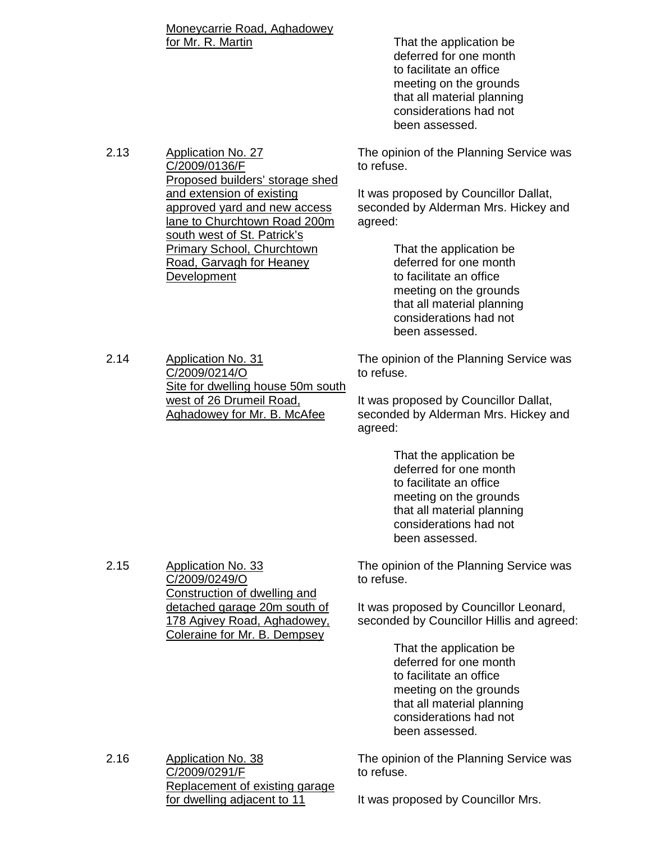Moneycarrie Road, Aghadowey for Mr. R. Martin **That the application be** 

 deferred for one month to facilitate an office meeting on the grounds that all material planning considerations had not been assessed.

Proposed builders' storage shed The opinion of the Planning Service was to refuse.

> It was proposed by Councillor Dallat, seconded by Alderman Mrs. Hickey and agreed:

> > That the application be deferred for one month to facilitate an office meeting on the grounds that all material planning considerations had not been assessed.

2.14 Application No. 31 C/2009/0214/O Site for dwelling house 50m south west of 26 Drumeil Road, Aghadowey for Mr. B. McAfee

The opinion of the Planning Service was to refuse.

It was proposed by Councillor Dallat, seconded by Alderman Mrs. Hickey and agreed:

> That the application be deferred for one month to facilitate an office meeting on the grounds that all material planning considerations had not been assessed.

The opinion of the Planning Service was to refuse.

It was proposed by Councillor Leonard, seconded by Councillor Hillis and agreed:

> That the application be deferred for one month to facilitate an office meeting on the grounds that all material planning considerations had not been assessed.

The opinion of the Planning Service was to refuse.

2.16 Application No. 38 C/2009/0291/F Replacement of existing garage for dwelling adjacent to 11

It was proposed by Councillor Mrs.

C/2009/0136/F

Development

2.15 Application No. 33

C/2009/0249/O

Construction of dwelling and detached garage 20m south of 178 Agivey Road, Aghadowey, Coleraine for Mr. B. Dempsey

and extension of existing

approved yard and new access lane to Churchtown Road 200m south west of St. Patrick's Primary School, Churchtown Road, Garvagh for Heaney

2.13 Application No. 27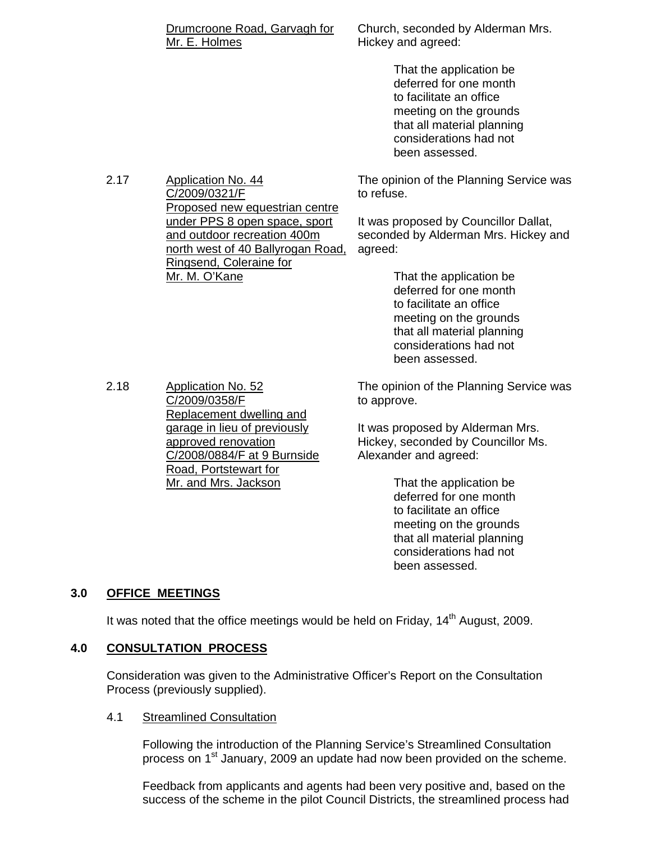#### Drumcroone Road, Garvagh for Mr. E. Holmes

Proposed new equestrian centre under PPS 8 open space, sport and outdoor recreation 400m north west of 40 Ballyrogan Road,

Ringsend, Coleraine for

Church, seconded by Alderman Mrs. Hickey and agreed:

> That the application be deferred for one month to facilitate an office meeting on the grounds that all material planning considerations had not been assessed.

The opinion of the Planning Service was to refuse.

It was proposed by Councillor Dallat, seconded by Alderman Mrs. Hickey and agreed:

> That the application be deferred for one month to facilitate an office meeting on the grounds that all material planning considerations had not been assessed.

2.18 Application No. 52 C/2009/0358/F Replacement dwelling and garage in lieu of previously approved renovation C/2008/0884/F at 9 Burnside Road, Portstewart for Mr. and Mrs. Jackson

The opinion of the Planning Service was to approve.

It was proposed by Alderman Mrs. Hickey, seconded by Councillor Ms. Alexander and agreed:

> That the application be deferred for one month to facilitate an office meeting on the grounds that all material planning considerations had not been assessed.

## **3.0 OFFICE MEETINGS**

It was noted that the office meetings would be held on Friday,  $14<sup>th</sup>$  August, 2009.

## **4.0 CONSULTATION PROCESS**

 Consideration was given to the Administrative Officer's Report on the Consultation Process (previously supplied).

#### 4.1 Streamlined Consultation

 Following the introduction of the Planning Service's Streamlined Consultation process on 1<sup>st</sup> January, 2009 an update had now been provided on the scheme.

 Feedback from applicants and agents had been very positive and, based on the success of the scheme in the pilot Council Districts, the streamlined process had

Mr. M. O'Kane

2.17 Application No. 44

C/2009/0321/F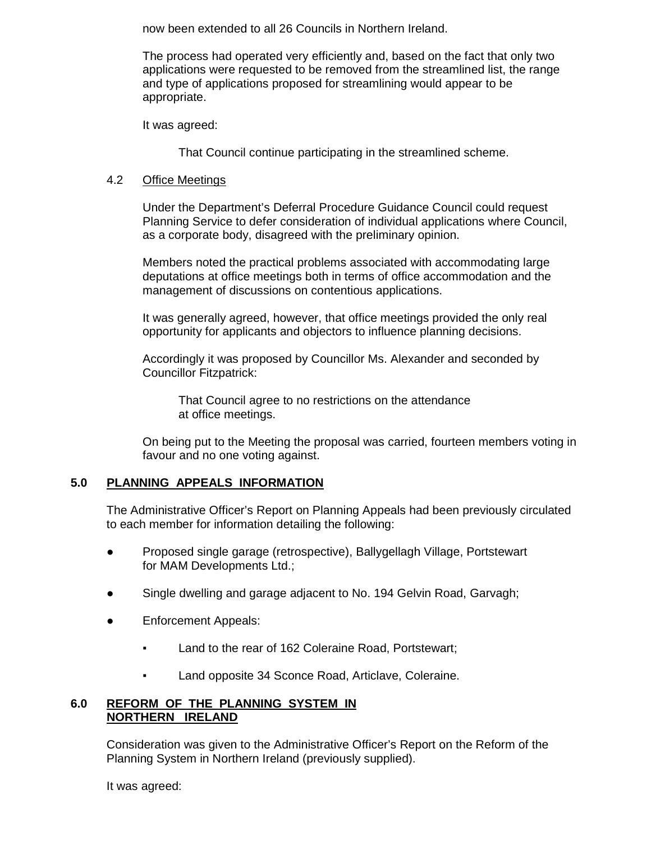now been extended to all 26 Councils in Northern Ireland.

 The process had operated very efficiently and, based on the fact that only two applications were requested to be removed from the streamlined list, the range and type of applications proposed for streamlining would appear to be appropriate.

It was agreed:

That Council continue participating in the streamlined scheme.

#### 4.2 Office Meetings

 Under the Department's Deferral Procedure Guidance Council could request Planning Service to defer consideration of individual applications where Council, as a corporate body, disagreed with the preliminary opinion.

 Members noted the practical problems associated with accommodating large deputations at office meetings both in terms of office accommodation and the management of discussions on contentious applications.

 It was generally agreed, however, that office meetings provided the only real opportunity for applicants and objectors to influence planning decisions.

 Accordingly it was proposed by Councillor Ms. Alexander and seconded by Councillor Fitzpatrick:

 That Council agree to no restrictions on the attendance at office meetings.

 On being put to the Meeting the proposal was carried, fourteen members voting in favour and no one voting against.

## **5.0 PLANNING APPEALS INFORMATION**

 The Administrative Officer's Report on Planning Appeals had been previously circulated to each member for information detailing the following:

- Proposed single garage (retrospective), Ballygellagh Village, Portstewart for MAM Developments Ltd.;
- Single dwelling and garage adjacent to No. 194 Gelvin Road, Garvagh;
- Enforcement Appeals:
	- Land to the rear of 162 Coleraine Road, Portstewart;
	- Land opposite 34 Sconce Road, Articlave, Coleraine.

## **6.0 REFORM OF THE PLANNING SYSTEM IN NORTHERN IRELAND**

 Consideration was given to the Administrative Officer's Report on the Reform of the Planning System in Northern Ireland (previously supplied).

It was agreed: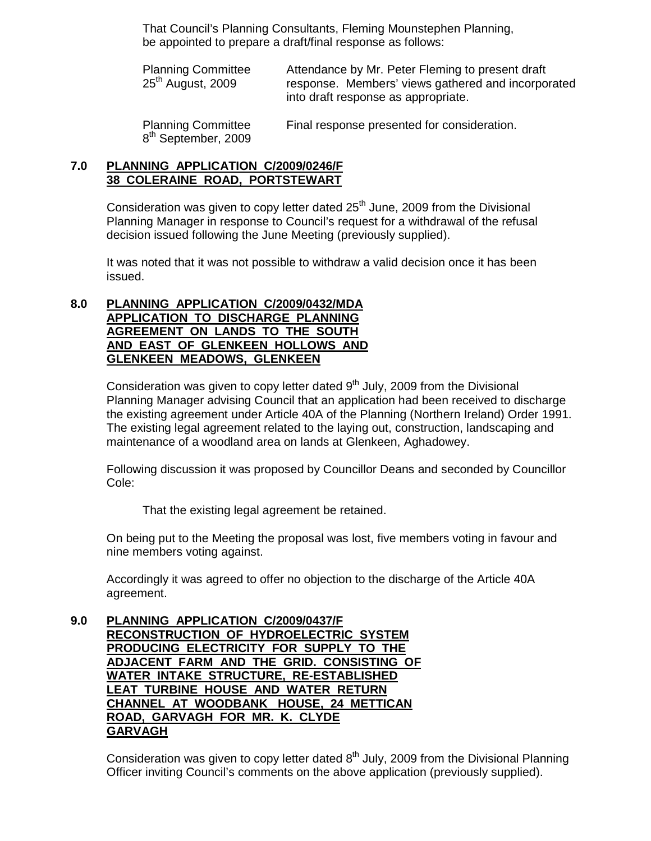That Council's Planning Consultants, Fleming Mounstephen Planning, be appointed to prepare a draft/final response as follows:

Planning Committee Attendance by Mr. Peter Fleming to present draft<br>25<sup>th</sup> August, 2009 response. Members' views gathered and incorpo response. Members' views gathered and incorporated into draft response as appropriate.

 Planning Committee Final response presented for consideration. 8<sup>th</sup> September, 2009

## **7.0 PLANNING APPLICATION C/2009/0246/F 38 COLERAINE ROAD, PORTSTEWART**

Consideration was given to copy letter dated  $25<sup>th</sup>$  June, 2009 from the Divisional Planning Manager in response to Council's request for a withdrawal of the refusal decision issued following the June Meeting (previously supplied).

 It was noted that it was not possible to withdraw a valid decision once it has been issued.

#### **8.0 PLANNING APPLICATION C/2009/0432/MDA APPLICATION TO DISCHARGE PLANNING AGREEMENT ON LANDS TO THE SOUTH AND EAST OF GLENKEEN HOLLOWS AND GLENKEEN MEADOWS, GLENKEEN**

Consideration was given to copy letter dated  $9<sup>th</sup>$  July, 2009 from the Divisional Planning Manager advising Council that an application had been received to discharge the existing agreement under Article 40A of the Planning (Northern Ireland) Order 1991. The existing legal agreement related to the laying out, construction, landscaping and maintenance of a woodland area on lands at Glenkeen, Aghadowey.

 Following discussion it was proposed by Councillor Deans and seconded by Councillor Cole:

That the existing legal agreement be retained.

 On being put to the Meeting the proposal was lost, five members voting in favour and nine members voting against.

 Accordingly it was agreed to offer no objection to the discharge of the Article 40A agreement.

**9.0 PLANNING APPLICATION C/2009/0437/F RECONSTRUCTION OF HYDROELECTRIC SYSTEM PRODUCING ELECTRICITY FOR SUPPLY TO THE ADJACENT FARM AND THE GRID. CONSISTING OF WATER INTAKE STRUCTURE, RE-ESTABLISHED LEAT TURBINE HOUSE AND WATER RETURN CHANNEL AT WOODBANK HOUSE, 24 METTICAN ROAD, GARVAGH FOR MR. K. CLYDE GARVAGH**

> Consideration was given to copy letter dated  $8<sup>th</sup>$  July, 2009 from the Divisional Planning Officer inviting Council's comments on the above application (previously supplied).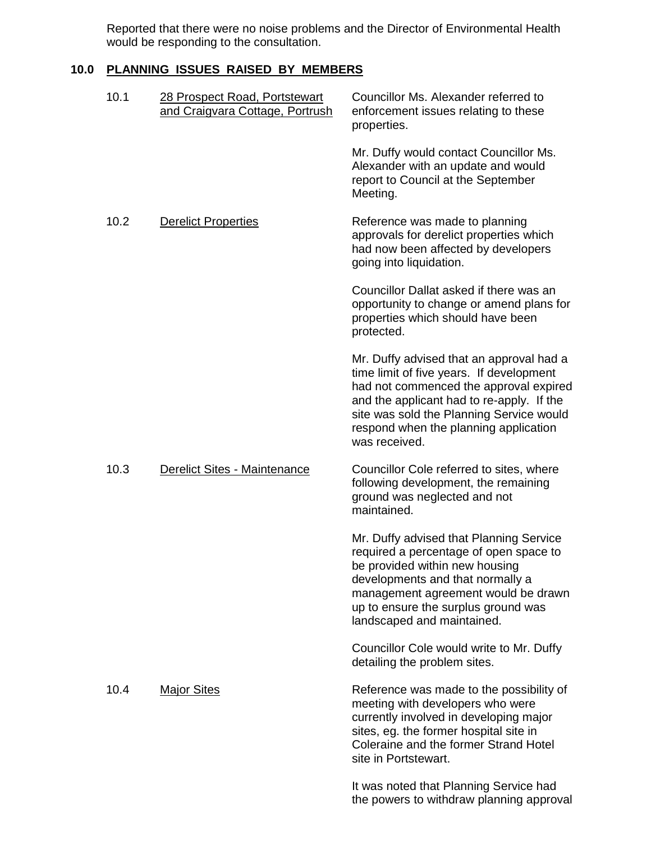Reported that there were no noise problems and the Director of Environmental Health would be responding to the consultation.

# **10.0 PLANNING ISSUES RAISED BY MEMBERS**

| 10.1 | 28 Prospect Road, Portstewart<br>and Craigvara Cottage, Portrush | Councillor Ms. Alexander referred to<br>enforcement issues relating to these<br>properties.                                                                                                                                                                                       |
|------|------------------------------------------------------------------|-----------------------------------------------------------------------------------------------------------------------------------------------------------------------------------------------------------------------------------------------------------------------------------|
|      |                                                                  | Mr. Duffy would contact Councillor Ms.<br>Alexander with an update and would<br>report to Council at the September<br>Meeting.                                                                                                                                                    |
| 10.2 | <b>Derelict Properties</b>                                       | Reference was made to planning<br>approvals for derelict properties which<br>had now been affected by developers<br>going into liquidation.                                                                                                                                       |
|      |                                                                  | Councillor Dallat asked if there was an<br>opportunity to change or amend plans for<br>properties which should have been<br>protected.                                                                                                                                            |
|      |                                                                  | Mr. Duffy advised that an approval had a<br>time limit of five years. If development<br>had not commenced the approval expired<br>and the applicant had to re-apply. If the<br>site was sold the Planning Service would<br>respond when the planning application<br>was received. |
| 10.3 | Derelict Sites - Maintenance                                     | Councillor Cole referred to sites, where<br>following development, the remaining<br>ground was neglected and not<br>maintained.                                                                                                                                                   |
|      |                                                                  | Mr. Duffy advised that Planning Service<br>required a percentage of open space to<br>be provided within new housing<br>developments and that normally a<br>management agreement would be drawn<br>up to ensure the surplus ground was<br>landscaped and maintained.               |
|      |                                                                  | Councillor Cole would write to Mr. Duffy<br>detailing the problem sites.                                                                                                                                                                                                          |
| 10.4 | <b>Major Sites</b>                                               | Reference was made to the possibility of<br>meeting with developers who were<br>currently involved in developing major<br>sites, eg. the former hospital site in<br>Coleraine and the former Strand Hotel<br>site in Portstewart.                                                 |
|      |                                                                  | It was noted that Planning Service had<br>the powers to withdraw planning approval                                                                                                                                                                                                |